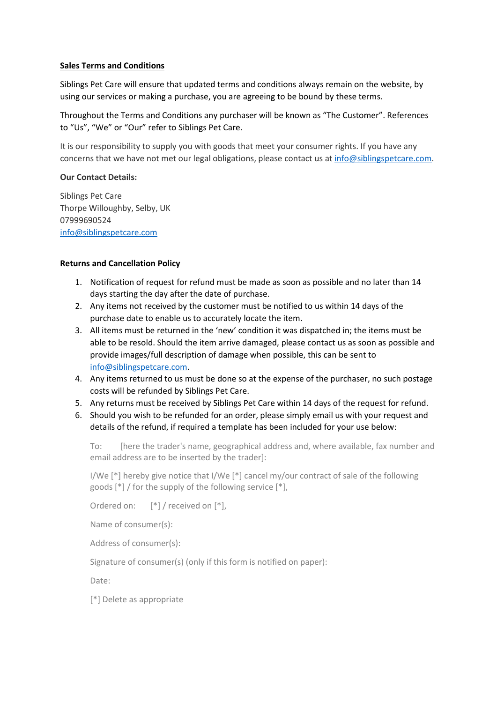#### **Sales Terms and Conditions**

Siblings Pet Care will ensure that updated terms and conditions always remain on the website, by using our services or making a purchase, you are agreeing to be bound by these terms.

Throughout the Terms and Conditions any purchaser will be known as "The Customer". References to "Us", "We" or "Our" refer to Siblings Pet Care.

It is our responsibility to supply you with goods that meet your consumer rights. If you have any concerns that we have not met our legal obligations, please contact us a[t info@siblingspetcare.com.](mailto:info@siblingspetcare.com)

#### **Our Contact Details:**

Siblings Pet Care Thorpe Willoughby, Selby, UK 07999690524 [info@siblingspetcare.com](mailto:info@siblingspetcare.com)

#### **Returns and Cancellation Policy**

- 1. Notification of request for refund must be made as soon as possible and no later than 14 days starting the day after the date of purchase.
- 2. Any items not received by the customer must be notified to us within 14 days of the purchase date to enable us to accurately locate the item.
- 3. All items must be returned in the 'new' condition it was dispatched in; the items must be able to be resold. Should the item arrive damaged, please contact us as soon as possible and provide images/full description of damage when possible, this can be sent to [info@siblingspetcare.com.](mailto:info@siblingspetcare.com)
- 4. Any items returned to us must be done so at the expense of the purchaser, no such postage costs will be refunded by Siblings Pet Care.
- 5. Any returns must be received by Siblings Pet Care within 14 days of the request for refund.
- 6. Should you wish to be refunded for an order, please simply email us with your request and details of the refund, if required a template has been included for your use below:

To: [here the trader's name, geographical address and, where available, fax number and email address are to be inserted by the trader]:

I/We [\*] hereby give notice that I/We [\*] cancel my/our contract of sale of the following goods [\*] / for the supply of the following service [\*],

Ordered on:  $[*] /$  received on  $[*]$ ,

Name of consumer(s):

Address of consumer(s):

Signature of consumer(s) (only if this form is notified on paper):

Date:

[\*] Delete as appropriate